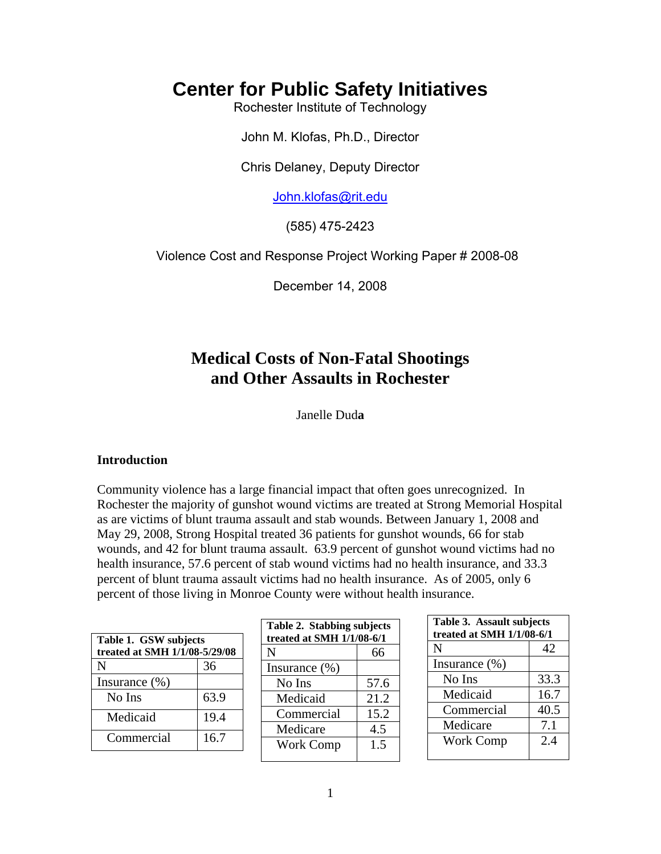# **Center for Public Safety Initiatives**

Rochester Institute of Technology

John M. Klofas, Ph.D., Director

Chris Delaney, Deputy Director

John.klofas@rit.edu

(585) 475-2423

Violence Cost and Response Project Working Paper # 2008-08

December 14, 2008

# **Medical Costs of Non-Fatal Shootings and Other Assaults in Rochester**

Janelle Dud**a** 

## **Introduction**

Community violence has a large financial impact that often goes unrecognized. In Rochester the majority of gunshot wound victims are treated at Strong Memorial Hospital as are victims of blunt trauma assault and stab wounds. Between January 1, 2008 and May 29, 2008, Strong Hospital treated 36 patients for gunshot wounds, 66 for stab wounds, and 42 for blunt trauma assault. 63.9 percent of gunshot wound victims had no health insurance, 57.6 percent of stab wound victims had no health insurance, and 33.3 percent of blunt trauma assault victims had no health insurance. As of 2005, only 6 percent of those living in Monroe County were without health insurance.

| Table 1. GSW subjects<br>treated at SMH 1/1/08-5/29/08 |      |  |
|--------------------------------------------------------|------|--|
| N                                                      | 36   |  |
| Insurance $(\% )$                                      |      |  |
| No Ins                                                 | 63.9 |  |
| Medicaid                                               | 19.4 |  |
| Commercial                                             | 16.7 |  |

| Table 2. Stabbing subjects<br>treated at SMH 1/1/08-6/1 |      |  |
|---------------------------------------------------------|------|--|
| N                                                       | 66   |  |
| Insurance $(\% )$                                       |      |  |
| No Ins                                                  | 57.6 |  |
| Medicaid                                                | 21.2 |  |
| Commercial                                              | 15.2 |  |
| Medicare                                                | 4.5  |  |
| <b>Work Comp</b>                                        | 1.5  |  |
|                                                         |      |  |

| Table 3. Assault subjects<br>treated at SMH 1/1/08-6/1 |      |  |
|--------------------------------------------------------|------|--|
| N                                                      | 42   |  |
| Insurance $(\%)$                                       |      |  |
| No Ins                                                 | 33.3 |  |
| Medicaid                                               | 16.7 |  |
| Commercial                                             | 40.5 |  |
| Medicare                                               | 7.1  |  |
| Work Comp                                              | 2.4  |  |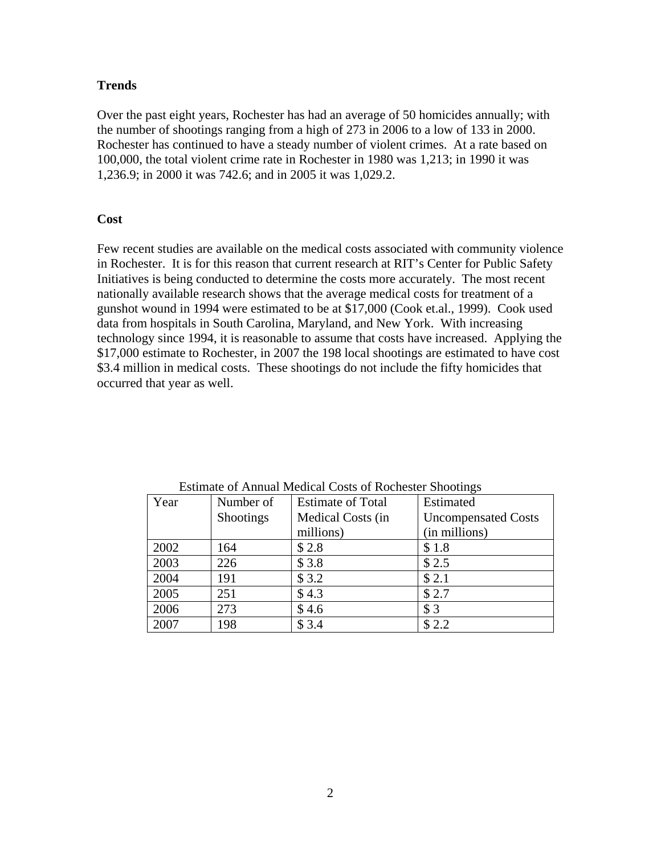# **Trends**

Over the past eight years, Rochester has had an average of 50 homicides annually; with the number of shootings ranging from a high of 273 in 2006 to a low of 133 in 2000. Rochester has continued to have a steady number of violent crimes. At a rate based on 100,000, the total violent crime rate in Rochester in 1980 was 1,213; in 1990 it was 1,236.9; in 2000 it was 742.6; and in 2005 it was 1,029.2.

# **Cost**

Few recent studies are available on the medical costs associated with community violence in Rochester. It is for this reason that current research at RIT's Center for Public Safety Initiatives is being conducted to determine the costs more accurately. The most recent nationally available research shows that the average medical costs for treatment of a gunshot wound in 1994 were estimated to be at \$17,000 (Cook et.al., 1999). Cook used data from hospitals in South Carolina, Maryland, and New York. With increasing technology since 1994, it is reasonable to assume that costs have increased. Applying the \$17,000 estimate to Rochester, in 2007 the 198 local shootings are estimated to have cost \$3.4 million in medical costs. These shootings do not include the fifty homicides that occurred that year as well.

| Year | Number of | <b>Estimate of Total</b> | Estimated                  |
|------|-----------|--------------------------|----------------------------|
|      | Shootings | Medical Costs (in        | <b>Uncompensated Costs</b> |
|      |           | millions)                | (in millions)              |
| 2002 | 164       | \$2.8                    | \$1.8                      |
| 2003 | 226       | \$3.8                    | \$2.5                      |
| 2004 | 191       | \$3.2                    | \$2.1                      |
| 2005 | 251       | \$4.3                    | \$2.7                      |
| 2006 | 273       | \$4.6                    | \$3                        |
| 2007 | 198       | \$3.4                    | \$2.2                      |

Estimate of Annual Medical Costs of Rochester Shootings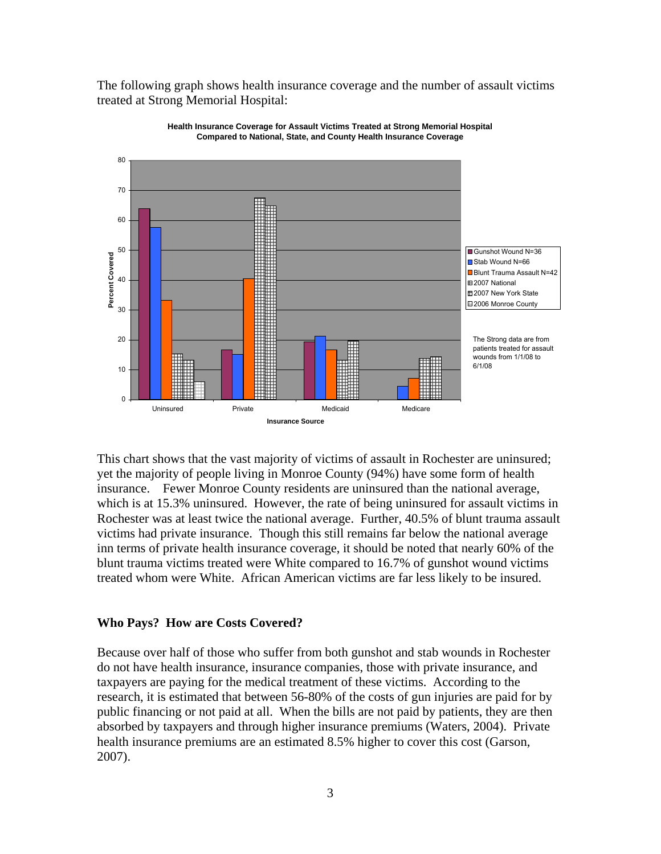The following graph shows health insurance coverage and the number of assault victims treated at Strong Memorial Hospital:





This chart shows that the vast majority of victims of assault in Rochester are uninsured; yet the majority of people living in Monroe County (94%) have some form of health insurance. Fewer Monroe County residents are uninsured than the national average, which is at 15.3% uninsured. However, the rate of being uninsured for assault victims in Rochester was at least twice the national average. Further, 40.5% of blunt trauma assault victims had private insurance. Though this still remains far below the national average inn terms of private health insurance coverage, it should be noted that nearly 60% of the blunt trauma victims treated were White compared to 16.7% of gunshot wound victims treated whom were White. African American victims are far less likely to be insured.

#### **Who Pays? How are Costs Covered?**

Because over half of those who suffer from both gunshot and stab wounds in Rochester do not have health insurance, insurance companies, those with private insurance, and taxpayers are paying for the medical treatment of these victims. According to the research, it is estimated that between 56-80% of the costs of gun injuries are paid for by public financing or not paid at all. When the bills are not paid by patients, they are then absorbed by taxpayers and through higher insurance premiums (Waters, 2004). Private health insurance premiums are an estimated 8.5% higher to cover this cost (Garson, 2007).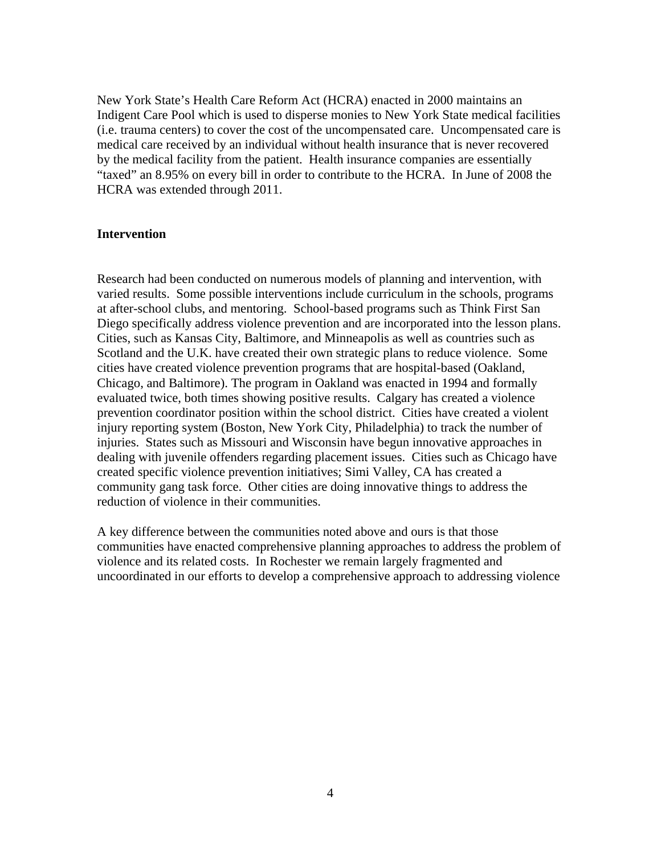New York State's Health Care Reform Act (HCRA) enacted in 2000 maintains an Indigent Care Pool which is used to disperse monies to New York State medical facilities (i.e. trauma centers) to cover the cost of the uncompensated care. Uncompensated care is medical care received by an individual without health insurance that is never recovered by the medical facility from the patient. Health insurance companies are essentially "taxed" an 8.95% on every bill in order to contribute to the HCRA. In June of 2008 the HCRA was extended through 2011.

#### **Intervention**

Research had been conducted on numerous models of planning and intervention, with varied results. Some possible interventions include curriculum in the schools, programs at after-school clubs, and mentoring. School-based programs such as Think First San Diego specifically address violence prevention and are incorporated into the lesson plans. Cities, such as Kansas City, Baltimore, and Minneapolis as well as countries such as Scotland and the U.K. have created their own strategic plans to reduce violence. Some cities have created violence prevention programs that are hospital-based (Oakland, Chicago, and Baltimore). The program in Oakland was enacted in 1994 and formally evaluated twice, both times showing positive results. Calgary has created a violence prevention coordinator position within the school district. Cities have created a violent injury reporting system (Boston, New York City, Philadelphia) to track the number of injuries. States such as Missouri and Wisconsin have begun innovative approaches in dealing with juvenile offenders regarding placement issues. Cities such as Chicago have created specific violence prevention initiatives; Simi Valley, CA has created a community gang task force. Other cities are doing innovative things to address the reduction of violence in their communities.

A key difference between the communities noted above and ours is that those communities have enacted comprehensive planning approaches to address the problem of violence and its related costs. In Rochester we remain largely fragmented and uncoordinated in our efforts to develop a comprehensive approach to addressing violence